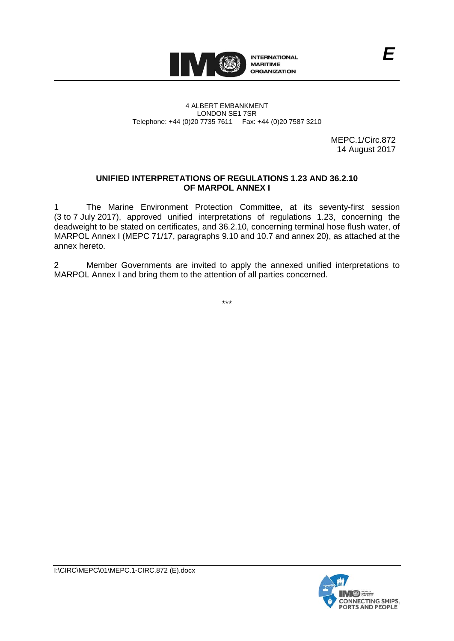

#### 4 ALBERT EMBANKMENT LONDON SE1 7SR Telephone: +44 (0)20 7735 7611 Fax: +44 (0)20 7587 3210

MEPC.1/Circ.872 14 August 2017

*E*

# **UNIFIED INTERPRETATIONS OF REGULATIONS 1.23 AND 36.2.10 OF MARPOL ANNEX I**

1 The Marine Environment Protection Committee, at its seventy-first session (3 to 7 July 2017), approved unified interpretations of regulations 1.23, concerning the deadweight to be stated on certificates, and 36.2.10, concerning terminal hose flush water, of MARPOL Annex I (MEPC 71/17, paragraphs 9.10 and 10.7 and annex 20), as attached at the annex hereto.

2 Member Governments are invited to apply the annexed unified interpretations to MARPOL Annex I and bring them to the attention of all parties concerned.

\*\*\*